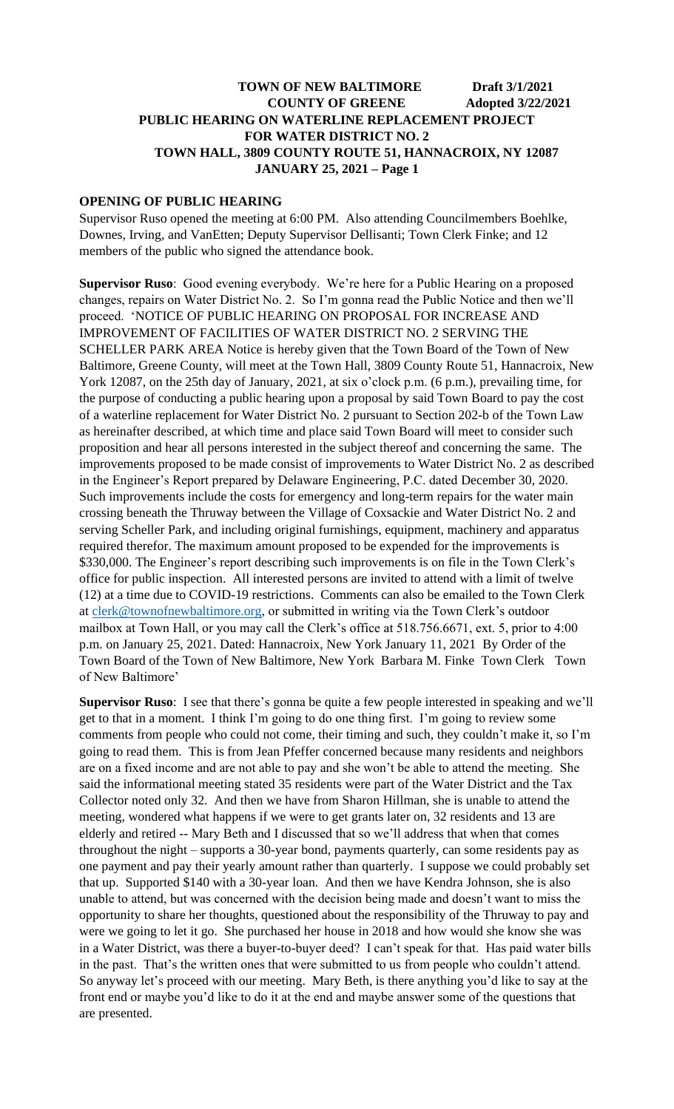# **OPENING OF PUBLIC HEARING**

Supervisor Ruso opened the meeting at 6:00 PM. Also attending Councilmembers Boehlke, Downes, Irving, and VanEtten; Deputy Supervisor Dellisanti; Town Clerk Finke; and 12 members of the public who signed the attendance book.

**Supervisor Ruso**: Good evening everybody. We're here for a Public Hearing on a proposed changes, repairs on Water District No. 2. So I'm gonna read the Public Notice and then we'll proceed. 'NOTICE OF PUBLIC HEARING ON PROPOSAL FOR INCREASE AND IMPROVEMENT OF FACILITIES OF WATER DISTRICT NO. 2 SERVING THE SCHELLER PARK AREA Notice is hereby given that the Town Board of the Town of New Baltimore, Greene County, will meet at the Town Hall, 3809 County Route 51, Hannacroix, New York 12087, on the 25th day of January, 2021, at six o'clock p.m. (6 p.m.), prevailing time, for the purpose of conducting a public hearing upon a proposal by said Town Board to pay the cost of a waterline replacement for Water District No. 2 pursuant to Section 202-b of the Town Law as hereinafter described, at which time and place said Town Board will meet to consider such proposition and hear all persons interested in the subject thereof and concerning the same. The improvements proposed to be made consist of improvements to Water District No. 2 as described in the Engineer's Report prepared by Delaware Engineering, P.C. dated December 30, 2020. Such improvements include the costs for emergency and long-term repairs for the water main crossing beneath the Thruway between the Village of Coxsackie and Water District No. 2 and serving Scheller Park, and including original furnishings, equipment, machinery and apparatus required therefor. The maximum amount proposed to be expended for the improvements is \$330,000. The Engineer's report describing such improvements is on file in the Town Clerk's office for public inspection. All interested persons are invited to attend with a limit of twelve (12) at a time due to COVID-19 restrictions. Comments can also be emailed to the Town Clerk at [clerk@townofnewbaltimore.org,](mailto:clerk@townofnewbaltimore.org) or submitted in writing via the Town Clerk's outdoor mailbox at Town Hall, or you may call the Clerk's office at 518.756.6671, ext. 5, prior to 4:00 p.m. on January 25, 2021. Dated: Hannacroix, New York January 11, 2021 By Order of the Town Board of the Town of New Baltimore, New York Barbara M. Finke Town Clerk Town of New Baltimore'

**Supervisor Ruso**: I see that there's gonna be quite a few people interested in speaking and we'll get to that in a moment. I think I'm going to do one thing first. I'm going to review some comments from people who could not come, their timing and such, they couldn't make it, so I'm going to read them. This is from Jean Pfeffer concerned because many residents and neighbors are on a fixed income and are not able to pay and she won't be able to attend the meeting. She said the informational meeting stated 35 residents were part of the Water District and the Tax Collector noted only 32. And then we have from Sharon Hillman, she is unable to attend the meeting, wondered what happens if we were to get grants later on, 32 residents and 13 are elderly and retired -- Mary Beth and I discussed that so we'll address that when that comes throughout the night – supports a 30-year bond, payments quarterly, can some residents pay as one payment and pay their yearly amount rather than quarterly. I suppose we could probably set that up. Supported \$140 with a 30-year loan. And then we have Kendra Johnson, she is also unable to attend, but was concerned with the decision being made and doesn't want to miss the opportunity to share her thoughts, questioned about the responsibility of the Thruway to pay and were we going to let it go. She purchased her house in 2018 and how would she know she was in a Water District, was there a buyer-to-buyer deed? I can't speak for that. Has paid water bills in the past. That's the written ones that were submitted to us from people who couldn't attend. So anyway let's proceed with our meeting. Mary Beth, is there anything you'd like to say at the front end or maybe you'd like to do it at the end and maybe answer some of the questions that are presented.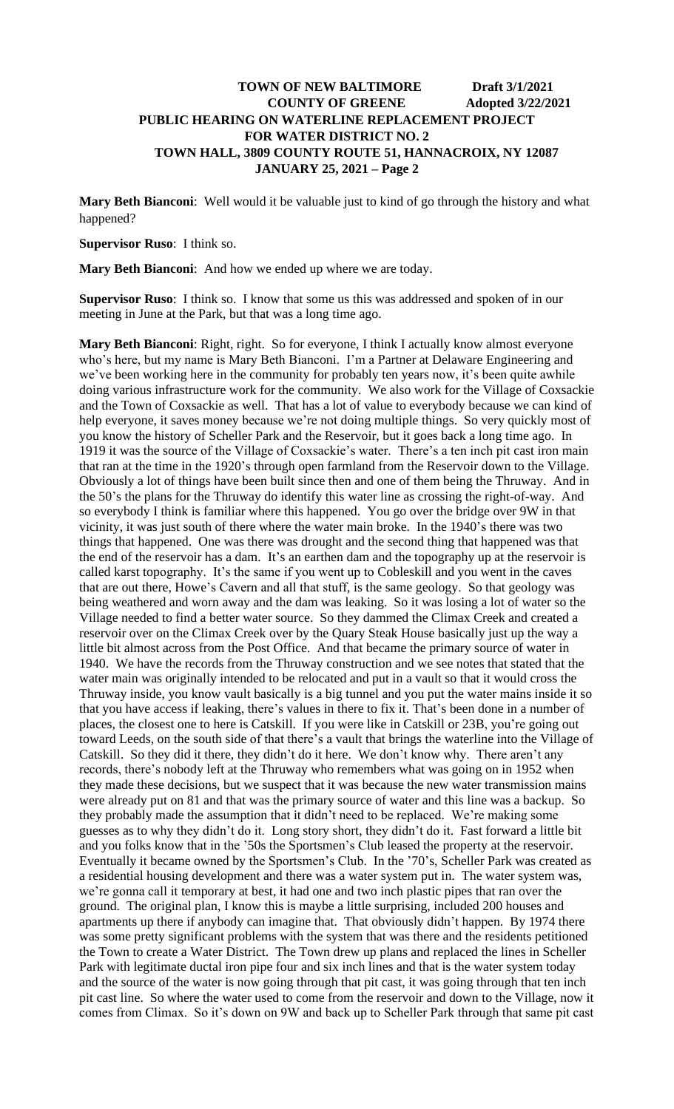**Mary Beth Bianconi**: Well would it be valuable just to kind of go through the history and what happened?

#### **Supervisor Ruso**: I think so.

**Mary Beth Bianconi**: And how we ended up where we are today.

**Supervisor Ruso**: I think so. I know that some us this was addressed and spoken of in our meeting in June at the Park, but that was a long time ago.

**Mary Beth Bianconi**: Right, right. So for everyone, I think I actually know almost everyone who's here, but my name is Mary Beth Bianconi. I'm a Partner at Delaware Engineering and we've been working here in the community for probably ten years now, it's been quite awhile doing various infrastructure work for the community. We also work for the Village of Coxsackie and the Town of Coxsackie as well. That has a lot of value to everybody because we can kind of help everyone, it saves money because we're not doing multiple things. So very quickly most of you know the history of Scheller Park and the Reservoir, but it goes back a long time ago. In 1919 it was the source of the Village of Coxsackie's water. There's a ten inch pit cast iron main that ran at the time in the 1920's through open farmland from the Reservoir down to the Village. Obviously a lot of things have been built since then and one of them being the Thruway. And in the 50's the plans for the Thruway do identify this water line as crossing the right-of-way. And so everybody I think is familiar where this happened. You go over the bridge over 9W in that vicinity, it was just south of there where the water main broke. In the 1940's there was two things that happened. One was there was drought and the second thing that happened was that the end of the reservoir has a dam. It's an earthen dam and the topography up at the reservoir is called karst topography. It's the same if you went up to Cobleskill and you went in the caves that are out there, Howe's Cavern and all that stuff, is the same geology. So that geology was being weathered and worn away and the dam was leaking. So it was losing a lot of water so the Village needed to find a better water source. So they dammed the Climax Creek and created a reservoir over on the Climax Creek over by the Quary Steak House basically just up the way a little bit almost across from the Post Office. And that became the primary source of water in 1940. We have the records from the Thruway construction and we see notes that stated that the water main was originally intended to be relocated and put in a vault so that it would cross the Thruway inside, you know vault basically is a big tunnel and you put the water mains inside it so that you have access if leaking, there's values in there to fix it. That's been done in a number of places, the closest one to here is Catskill. If you were like in Catskill or 23B, you're going out toward Leeds, on the south side of that there's a vault that brings the waterline into the Village of Catskill. So they did it there, they didn't do it here. We don't know why. There aren't any records, there's nobody left at the Thruway who remembers what was going on in 1952 when they made these decisions, but we suspect that it was because the new water transmission mains were already put on 81 and that was the primary source of water and this line was a backup. So they probably made the assumption that it didn't need to be replaced. We're making some guesses as to why they didn't do it. Long story short, they didn't do it. Fast forward a little bit and you folks know that in the '50s the Sportsmen's Club leased the property at the reservoir. Eventually it became owned by the Sportsmen's Club. In the '70's, Scheller Park was created as a residential housing development and there was a water system put in. The water system was, we're gonna call it temporary at best, it had one and two inch plastic pipes that ran over the ground. The original plan, I know this is maybe a little surprising, included 200 houses and apartments up there if anybody can imagine that. That obviously didn't happen. By 1974 there was some pretty significant problems with the system that was there and the residents petitioned the Town to create a Water District. The Town drew up plans and replaced the lines in Scheller Park with legitimate ductal iron pipe four and six inch lines and that is the water system today and the source of the water is now going through that pit cast, it was going through that ten inch pit cast line. So where the water used to come from the reservoir and down to the Village, now it comes from Climax. So it's down on 9W and back up to Scheller Park through that same pit cast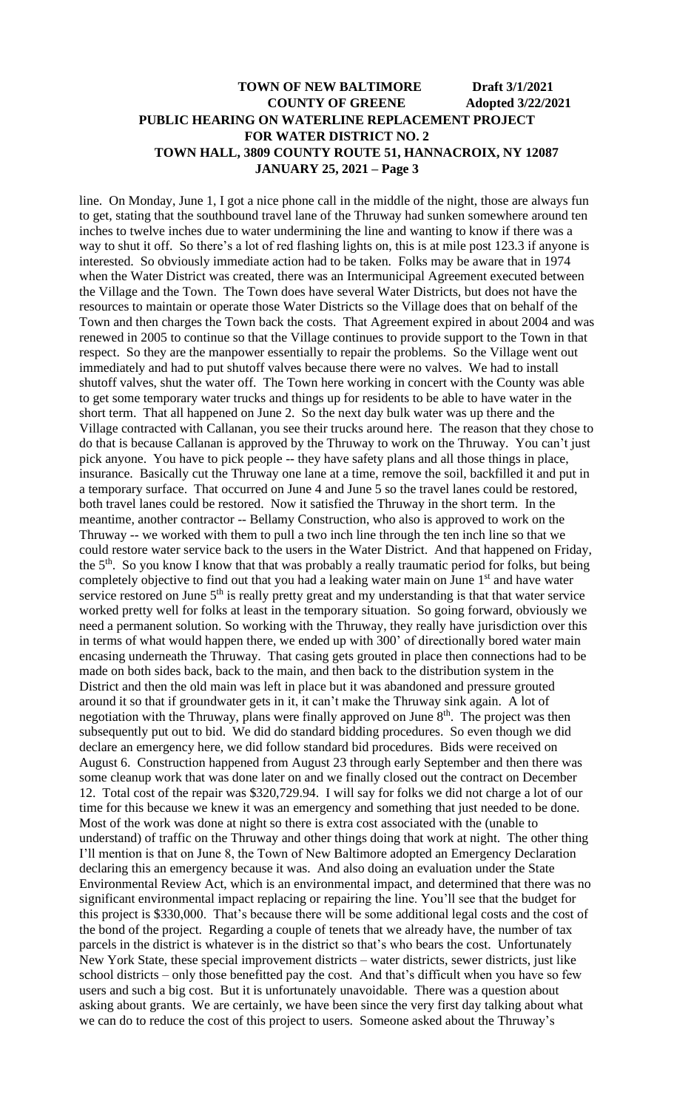line. On Monday, June 1, I got a nice phone call in the middle of the night, those are always fun to get, stating that the southbound travel lane of the Thruway had sunken somewhere around ten inches to twelve inches due to water undermining the line and wanting to know if there was a way to shut it off. So there's a lot of red flashing lights on, this is at mile post 123.3 if anyone is interested. So obviously immediate action had to be taken. Folks may be aware that in 1974 when the Water District was created, there was an Intermunicipal Agreement executed between the Village and the Town. The Town does have several Water Districts, but does not have the resources to maintain or operate those Water Districts so the Village does that on behalf of the Town and then charges the Town back the costs. That Agreement expired in about 2004 and was renewed in 2005 to continue so that the Village continues to provide support to the Town in that respect. So they are the manpower essentially to repair the problems. So the Village went out immediately and had to put shutoff valves because there were no valves. We had to install shutoff valves, shut the water off. The Town here working in concert with the County was able to get some temporary water trucks and things up for residents to be able to have water in the short term. That all happened on June 2. So the next day bulk water was up there and the Village contracted with Callanan, you see their trucks around here. The reason that they chose to do that is because Callanan is approved by the Thruway to work on the Thruway. You can't just pick anyone. You have to pick people -- they have safety plans and all those things in place, insurance. Basically cut the Thruway one lane at a time, remove the soil, backfilled it and put in a temporary surface. That occurred on June 4 and June 5 so the travel lanes could be restored, both travel lanes could be restored. Now it satisfied the Thruway in the short term. In the meantime, another contractor -- Bellamy Construction, who also is approved to work on the Thruway -- we worked with them to pull a two inch line through the ten inch line so that we could restore water service back to the users in the Water District. And that happened on Friday, the  $5<sup>th</sup>$ . So you know I know that that was probably a really traumatic period for folks, but being completely objective to find out that you had a leaking water main on June 1<sup>st</sup> and have water service restored on June  $5<sup>th</sup>$  is really pretty great and my understanding is that that water service worked pretty well for folks at least in the temporary situation. So going forward, obviously we need a permanent solution. So working with the Thruway, they really have jurisdiction over this in terms of what would happen there, we ended up with 300' of directionally bored water main encasing underneath the Thruway. That casing gets grouted in place then connections had to be made on both sides back, back to the main, and then back to the distribution system in the District and then the old main was left in place but it was abandoned and pressure grouted around it so that if groundwater gets in it, it can't make the Thruway sink again. A lot of negotiation with the Thruway, plans were finally approved on June 8<sup>th</sup>. The project was then subsequently put out to bid. We did do standard bidding procedures. So even though we did declare an emergency here, we did follow standard bid procedures. Bids were received on August 6. Construction happened from August 23 through early September and then there was some cleanup work that was done later on and we finally closed out the contract on December 12. Total cost of the repair was \$320,729.94. I will say for folks we did not charge a lot of our time for this because we knew it was an emergency and something that just needed to be done. Most of the work was done at night so there is extra cost associated with the (unable to understand) of traffic on the Thruway and other things doing that work at night. The other thing I'll mention is that on June 8, the Town of New Baltimore adopted an Emergency Declaration declaring this an emergency because it was. And also doing an evaluation under the State Environmental Review Act, which is an environmental impact, and determined that there was no significant environmental impact replacing or repairing the line. You'll see that the budget for this project is \$330,000. That's because there will be some additional legal costs and the cost of the bond of the project. Regarding a couple of tenets that we already have, the number of tax parcels in the district is whatever is in the district so that's who bears the cost. Unfortunately New York State, these special improvement districts – water districts, sewer districts, just like school districts – only those benefitted pay the cost. And that's difficult when you have so few users and such a big cost. But it is unfortunately unavoidable. There was a question about asking about grants. We are certainly, we have been since the very first day talking about what we can do to reduce the cost of this project to users. Someone asked about the Thruway's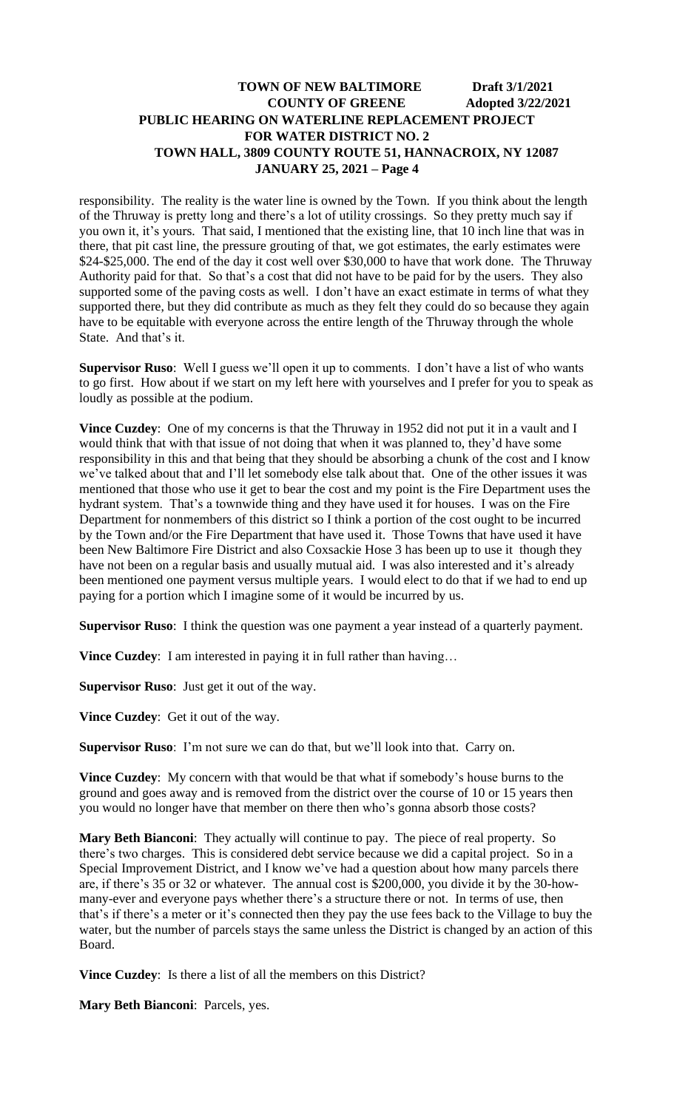responsibility. The reality is the water line is owned by the Town. If you think about the length of the Thruway is pretty long and there's a lot of utility crossings. So they pretty much say if you own it, it's yours. That said, I mentioned that the existing line, that 10 inch line that was in there, that pit cast line, the pressure grouting of that, we got estimates, the early estimates were \$24-\$25,000. The end of the day it cost well over \$30,000 to have that work done. The Thruway Authority paid for that. So that's a cost that did not have to be paid for by the users. They also supported some of the paving costs as well. I don't have an exact estimate in terms of what they supported there, but they did contribute as much as they felt they could do so because they again have to be equitable with everyone across the entire length of the Thruway through the whole State. And that's it.

**Supervisor Ruso**: Well I guess we'll open it up to comments. I don't have a list of who wants to go first. How about if we start on my left here with yourselves and I prefer for you to speak as loudly as possible at the podium.

**Vince Cuzdey**: One of my concerns is that the Thruway in 1952 did not put it in a vault and I would think that with that issue of not doing that when it was planned to, they'd have some responsibility in this and that being that they should be absorbing a chunk of the cost and I know we've talked about that and I'll let somebody else talk about that. One of the other issues it was mentioned that those who use it get to bear the cost and my point is the Fire Department uses the hydrant system. That's a townwide thing and they have used it for houses. I was on the Fire Department for nonmembers of this district so I think a portion of the cost ought to be incurred by the Town and/or the Fire Department that have used it. Those Towns that have used it have been New Baltimore Fire District and also Coxsackie Hose 3 has been up to use it though they have not been on a regular basis and usually mutual aid. I was also interested and it's already been mentioned one payment versus multiple years. I would elect to do that if we had to end up paying for a portion which I imagine some of it would be incurred by us.

**Supervisor Ruso**: I think the question was one payment a year instead of a quarterly payment.

**Vince Cuzdey**: I am interested in paying it in full rather than having…

**Supervisor Ruso**: Just get it out of the way.

**Vince Cuzdey**: Get it out of the way.

**Supervisor Ruso**: I'm not sure we can do that, but we'll look into that. Carry on.

**Vince Cuzdey**: My concern with that would be that what if somebody's house burns to the ground and goes away and is removed from the district over the course of 10 or 15 years then you would no longer have that member on there then who's gonna absorb those costs?

**Mary Beth Bianconi**: They actually will continue to pay. The piece of real property. So there's two charges. This is considered debt service because we did a capital project. So in a Special Improvement District, and I know we've had a question about how many parcels there are, if there's 35 or 32 or whatever. The annual cost is \$200,000, you divide it by the 30-howmany-ever and everyone pays whether there's a structure there or not. In terms of use, then that's if there's a meter or it's connected then they pay the use fees back to the Village to buy the water, but the number of parcels stays the same unless the District is changed by an action of this Board.

**Vince Cuzdey**: Is there a list of all the members on this District?

**Mary Beth Bianconi**: Parcels, yes.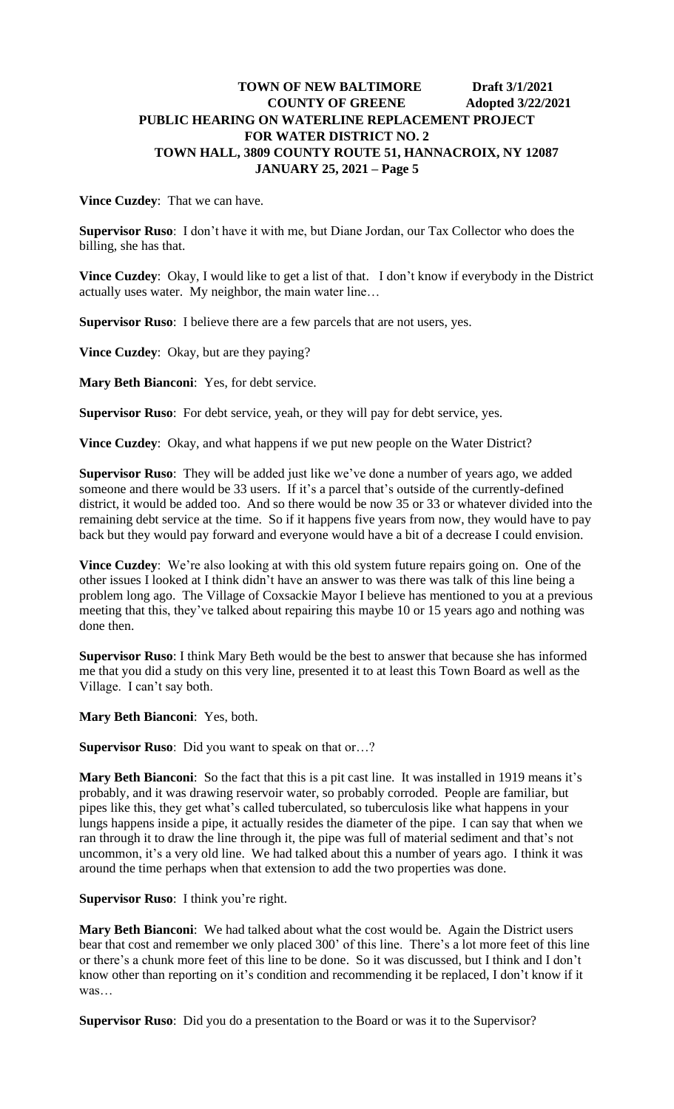**Vince Cuzdey**: That we can have.

**Supervisor Ruso**: I don't have it with me, but Diane Jordan, our Tax Collector who does the billing, she has that.

**Vince Cuzdey**: Okay, I would like to get a list of that. I don't know if everybody in the District actually uses water. My neighbor, the main water line…

**Supervisor Ruso**: I believe there are a few parcels that are not users, yes.

**Vince Cuzdey**: Okay, but are they paying?

**Mary Beth Bianconi**: Yes, for debt service.

**Supervisor Ruso**: For debt service, yeah, or they will pay for debt service, yes.

**Vince Cuzdey**: Okay, and what happens if we put new people on the Water District?

**Supervisor Ruso**: They will be added just like we've done a number of years ago, we added someone and there would be 33 users. If it's a parcel that's outside of the currently-defined district, it would be added too. And so there would be now 35 or 33 or whatever divided into the remaining debt service at the time. So if it happens five years from now, they would have to pay back but they would pay forward and everyone would have a bit of a decrease I could envision.

**Vince Cuzdey**: We're also looking at with this old system future repairs going on. One of the other issues I looked at I think didn't have an answer to was there was talk of this line being a problem long ago. The Village of Coxsackie Mayor I believe has mentioned to you at a previous meeting that this, they've talked about repairing this maybe 10 or 15 years ago and nothing was done then.

**Supervisor Ruso**: I think Mary Beth would be the best to answer that because she has informed me that you did a study on this very line, presented it to at least this Town Board as well as the Village. I can't say both.

**Mary Beth Bianconi**: Yes, both.

**Supervisor Ruso**: Did you want to speak on that or…?

**Mary Beth Bianconi**: So the fact that this is a pit cast line. It was installed in 1919 means it's probably, and it was drawing reservoir water, so probably corroded. People are familiar, but pipes like this, they get what's called tuberculated, so tuberculosis like what happens in your lungs happens inside a pipe, it actually resides the diameter of the pipe. I can say that when we ran through it to draw the line through it, the pipe was full of material sediment and that's not uncommon, it's a very old line. We had talked about this a number of years ago. I think it was around the time perhaps when that extension to add the two properties was done.

**Supervisor Ruso**: I think you're right.

**Mary Beth Bianconi**: We had talked about what the cost would be. Again the District users bear that cost and remember we only placed 300' of this line. There's a lot more feet of this line or there's a chunk more feet of this line to be done. So it was discussed, but I think and I don't know other than reporting on it's condition and recommending it be replaced, I don't know if it was…

**Supervisor Ruso**: Did you do a presentation to the Board or was it to the Supervisor?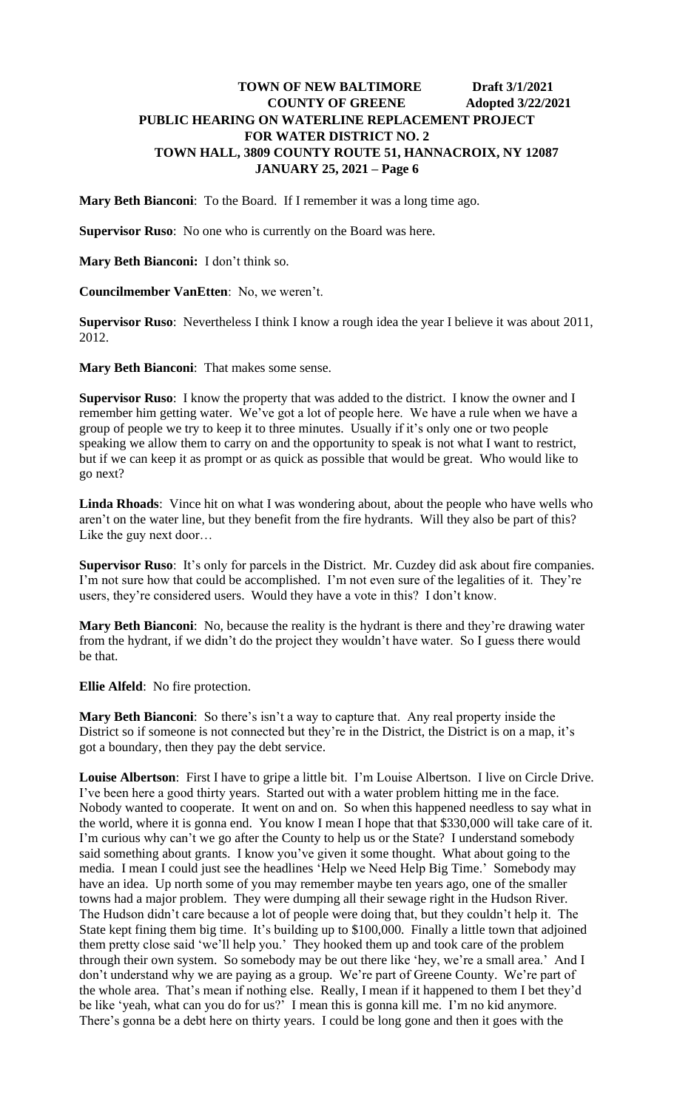**Mary Beth Bianconi**: To the Board. If I remember it was a long time ago.

**Supervisor Ruso**: No one who is currently on the Board was here.

**Mary Beth Bianconi:** I don't think so.

**Councilmember VanEtten**: No, we weren't.

**Supervisor Ruso**: Nevertheless I think I know a rough idea the year I believe it was about 2011, 2012.

**Mary Beth Bianconi**: That makes some sense.

**Supervisor Ruso**: I know the property that was added to the district. I know the owner and I remember him getting water. We've got a lot of people here. We have a rule when we have a group of people we try to keep it to three minutes. Usually if it's only one or two people speaking we allow them to carry on and the opportunity to speak is not what I want to restrict, but if we can keep it as prompt or as quick as possible that would be great. Who would like to go next?

**Linda Rhoads**: Vince hit on what I was wondering about, about the people who have wells who aren't on the water line, but they benefit from the fire hydrants. Will they also be part of this? Like the guy next door…

**Supervisor Ruso**: It's only for parcels in the District. Mr. Cuzdey did ask about fire companies. I'm not sure how that could be accomplished. I'm not even sure of the legalities of it. They're users, they're considered users. Would they have a vote in this? I don't know.

**Mary Beth Bianconi**: No, because the reality is the hydrant is there and they're drawing water from the hydrant, if we didn't do the project they wouldn't have water. So I guess there would be that.

**Ellie Alfeld**: No fire protection.

**Mary Beth Bianconi**: So there's isn't a way to capture that. Any real property inside the District so if someone is not connected but they're in the District, the District is on a map, it's got a boundary, then they pay the debt service.

**Louise Albertson**: First I have to gripe a little bit. I'm Louise Albertson. I live on Circle Drive. I've been here a good thirty years. Started out with a water problem hitting me in the face. Nobody wanted to cooperate. It went on and on. So when this happened needless to say what in the world, where it is gonna end. You know I mean I hope that that \$330,000 will take care of it. I'm curious why can't we go after the County to help us or the State? I understand somebody said something about grants. I know you've given it some thought. What about going to the media. I mean I could just see the headlines 'Help we Need Help Big Time.' Somebody may have an idea. Up north some of you may remember maybe ten years ago, one of the smaller towns had a major problem. They were dumping all their sewage right in the Hudson River. The Hudson didn't care because a lot of people were doing that, but they couldn't help it. The State kept fining them big time. It's building up to \$100,000. Finally a little town that adjoined them pretty close said 'we'll help you.' They hooked them up and took care of the problem through their own system. So somebody may be out there like 'hey, we're a small area.' And I don't understand why we are paying as a group. We're part of Greene County. We're part of the whole area. That's mean if nothing else. Really, I mean if it happened to them I bet they'd be like 'yeah, what can you do for us?' I mean this is gonna kill me. I'm no kid anymore. There's gonna be a debt here on thirty years. I could be long gone and then it goes with the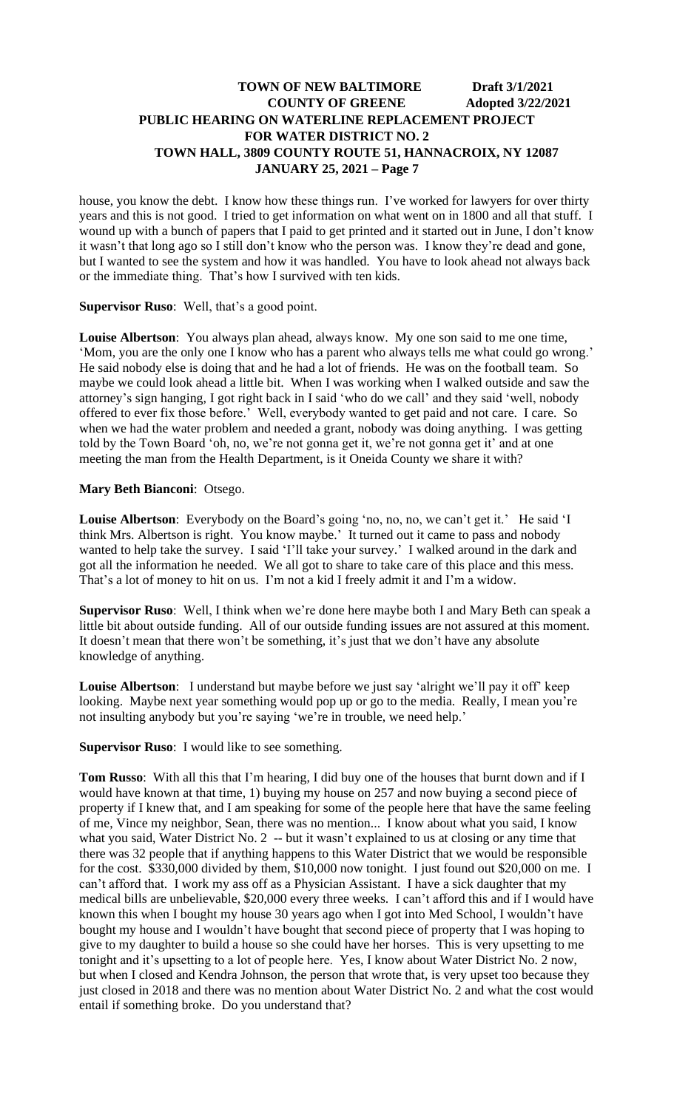house, you know the debt. I know how these things run. I've worked for lawyers for over thirty years and this is not good. I tried to get information on what went on in 1800 and all that stuff. I wound up with a bunch of papers that I paid to get printed and it started out in June, I don't know it wasn't that long ago so I still don't know who the person was. I know they're dead and gone, but I wanted to see the system and how it was handled. You have to look ahead not always back or the immediate thing. That's how I survived with ten kids.

#### **Supervisor Ruso**: Well, that's a good point.

**Louise Albertson**: You always plan ahead, always know. My one son said to me one time, 'Mom, you are the only one I know who has a parent who always tells me what could go wrong.' He said nobody else is doing that and he had a lot of friends. He was on the football team. So maybe we could look ahead a little bit. When I was working when I walked outside and saw the attorney's sign hanging, I got right back in I said 'who do we call' and they said 'well, nobody offered to ever fix those before.' Well, everybody wanted to get paid and not care. I care. So when we had the water problem and needed a grant, nobody was doing anything. I was getting told by the Town Board 'oh, no, we're not gonna get it, we're not gonna get it' and at one meeting the man from the Health Department, is it Oneida County we share it with?

#### **Mary Beth Bianconi**: Otsego.

**Louise Albertson**: Everybody on the Board's going 'no, no, no, we can't get it.' He said 'I think Mrs. Albertson is right. You know maybe.' It turned out it came to pass and nobody wanted to help take the survey. I said 'I'll take your survey.' I walked around in the dark and got all the information he needed. We all got to share to take care of this place and this mess. That's a lot of money to hit on us. I'm not a kid I freely admit it and I'm a widow.

**Supervisor Ruso**: Well, I think when we're done here maybe both I and Mary Beth can speak a little bit about outside funding. All of our outside funding issues are not assured at this moment. It doesn't mean that there won't be something, it's just that we don't have any absolute knowledge of anything.

**Louise Albertson**: I understand but maybe before we just say 'alright we'll pay it off' keep looking. Maybe next year something would pop up or go to the media. Really, I mean you're not insulting anybody but you're saying 'we're in trouble, we need help.'

**Supervisor Ruso**: I would like to see something.

**Tom Russo**: With all this that I'm hearing, I did buy one of the houses that burnt down and if I would have known at that time, 1) buying my house on 257 and now buying a second piece of property if I knew that, and I am speaking for some of the people here that have the same feeling of me, Vince my neighbor, Sean, there was no mention... I know about what you said, I know what you said, Water District No. 2 -- but it wasn't explained to us at closing or any time that there was 32 people that if anything happens to this Water District that we would be responsible for the cost. \$330,000 divided by them, \$10,000 now tonight. I just found out \$20,000 on me. I can't afford that. I work my ass off as a Physician Assistant. I have a sick daughter that my medical bills are unbelievable, \$20,000 every three weeks. I can't afford this and if I would have known this when I bought my house 30 years ago when I got into Med School, I wouldn't have bought my house and I wouldn't have bought that second piece of property that I was hoping to give to my daughter to build a house so she could have her horses. This is very upsetting to me tonight and it's upsetting to a lot of people here. Yes, I know about Water District No. 2 now, but when I closed and Kendra Johnson, the person that wrote that, is very upset too because they just closed in 2018 and there was no mention about Water District No. 2 and what the cost would entail if something broke. Do you understand that?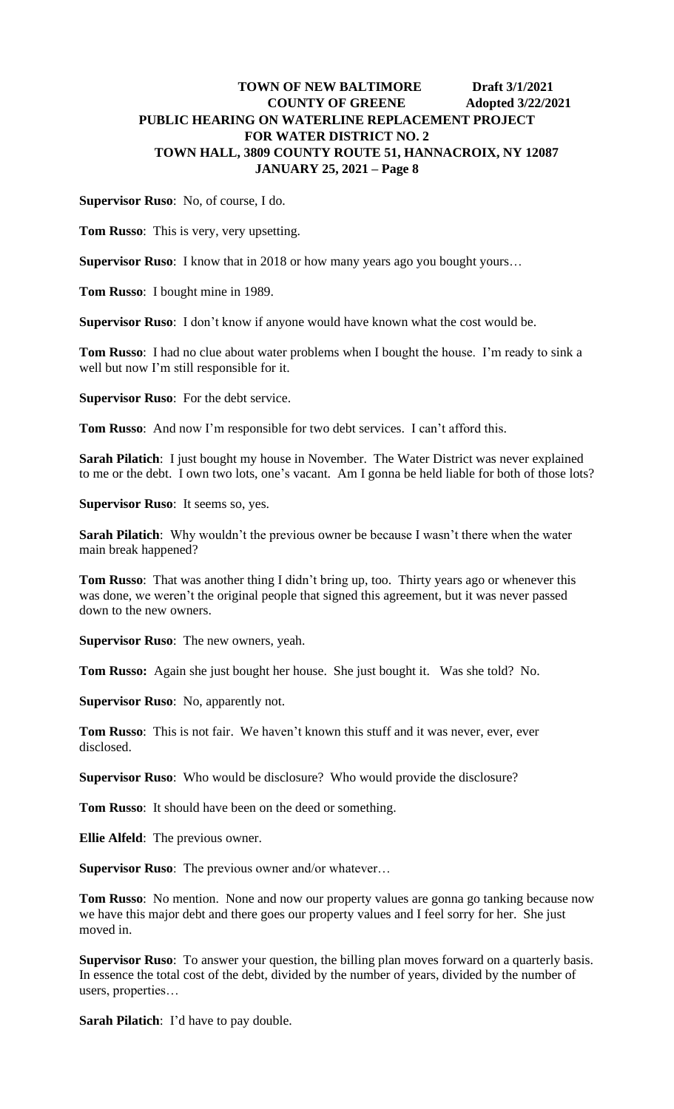**Supervisor Ruso**: No, of course, I do.

**Tom Russo**: This is very, very upsetting.

**Supervisor Ruso**: I know that in 2018 or how many years ago you bought yours…

**Tom Russo**: I bought mine in 1989.

**Supervisor Ruso**: I don't know if anyone would have known what the cost would be.

**Tom Russo**: I had no clue about water problems when I bought the house. I'm ready to sink a well but now I'm still responsible for it.

**Supervisor Ruso**: For the debt service.

**Tom Russo**: And now I'm responsible for two debt services. I can't afford this.

**Sarah Pilatich**: I just bought my house in November. The Water District was never explained to me or the debt. I own two lots, one's vacant. Am I gonna be held liable for both of those lots?

**Supervisor Ruso**: It seems so, yes.

**Sarah Pilatich**: Why wouldn't the previous owner be because I wasn't there when the water main break happened?

**Tom Russo**: That was another thing I didn't bring up, too. Thirty years ago or whenever this was done, we weren't the original people that signed this agreement, but it was never passed down to the new owners.

**Supervisor Ruso**: The new owners, yeah.

**Tom Russo:** Again she just bought her house. She just bought it. Was she told? No.

**Supervisor Ruso**: No, apparently not.

**Tom Russo**: This is not fair. We haven't known this stuff and it was never, ever, ever disclosed.

**Supervisor Ruso**: Who would be disclosure? Who would provide the disclosure?

**Tom Russo**: It should have been on the deed or something.

**Ellie Alfeld**: The previous owner.

**Supervisor Ruso**: The previous owner and/or whatever…

**Tom Russo**: No mention. None and now our property values are gonna go tanking because now we have this major debt and there goes our property values and I feel sorry for her. She just moved in.

**Supervisor Ruso**: To answer your question, the billing plan moves forward on a quarterly basis. In essence the total cost of the debt, divided by the number of years, divided by the number of users, properties…

**Sarah Pilatich**: I'd have to pay double.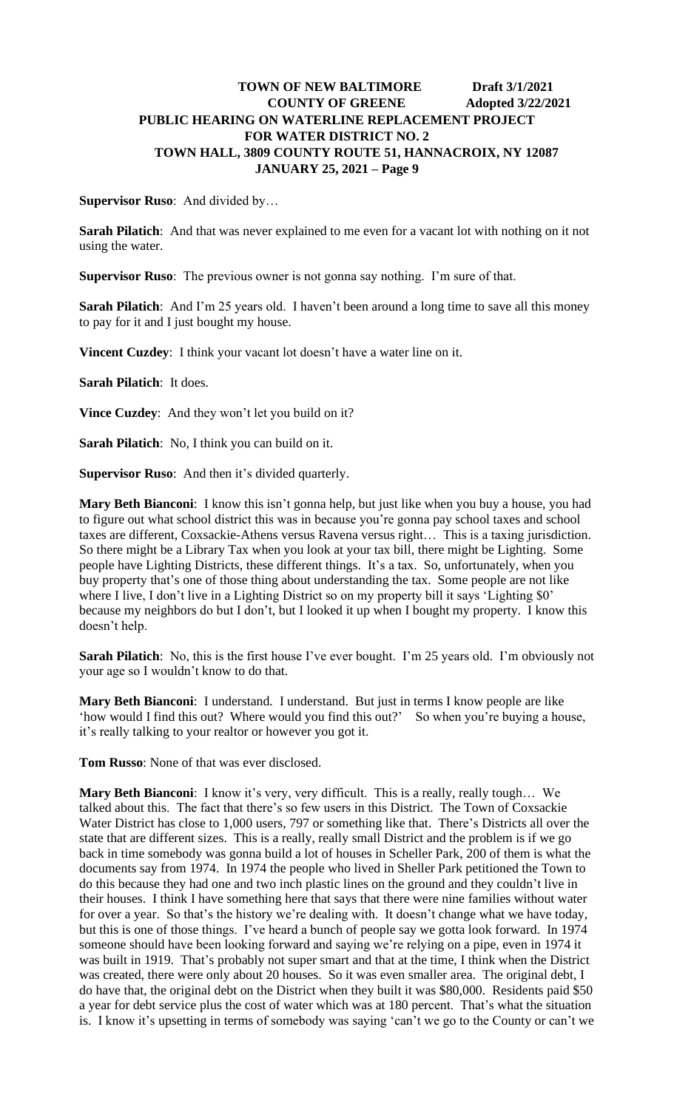**Supervisor Ruso**: And divided by…

**Sarah Pilatich**: And that was never explained to me even for a vacant lot with nothing on it not using the water.

**Supervisor Ruso**: The previous owner is not gonna say nothing. I'm sure of that.

**Sarah Pilatich**: And I'm 25 years old. I haven't been around a long time to save all this money to pay for it and I just bought my house.

**Vincent Cuzdey**: I think your vacant lot doesn't have a water line on it.

**Sarah Pilatich**: It does.

**Vince Cuzdey**: And they won't let you build on it?

**Sarah Pilatich**: No, I think you can build on it.

**Supervisor Ruso**: And then it's divided quarterly.

**Mary Beth Bianconi**: I know this isn't gonna help, but just like when you buy a house, you had to figure out what school district this was in because you're gonna pay school taxes and school taxes are different, Coxsackie-Athens versus Ravena versus right… This is a taxing jurisdiction. So there might be a Library Tax when you look at your tax bill, there might be Lighting. Some people have Lighting Districts, these different things. It's a tax. So, unfortunately, when you buy property that's one of those thing about understanding the tax. Some people are not like where I live, I don't live in a Lighting District so on my property bill it says 'Lighting \$0' because my neighbors do but I don't, but I looked it up when I bought my property. I know this doesn't help.

**Sarah Pilatich**: No, this is the first house I've ever bought. I'm 25 years old. I'm obviously not your age so I wouldn't know to do that.

**Mary Beth Bianconi**: I understand. I understand. But just in terms I know people are like 'how would I find this out? Where would you find this out?' So when you're buying a house, it's really talking to your realtor or however you got it.

**Tom Russo**: None of that was ever disclosed.

Mary Beth Bianconi: I know it's very, very difficult. This is a really, really tough... We talked about this. The fact that there's so few users in this District. The Town of Coxsackie Water District has close to 1,000 users, 797 or something like that. There's Districts all over the state that are different sizes. This is a really, really small District and the problem is if we go back in time somebody was gonna build a lot of houses in Scheller Park, 200 of them is what the documents say from 1974. In 1974 the people who lived in Sheller Park petitioned the Town to do this because they had one and two inch plastic lines on the ground and they couldn't live in their houses. I think I have something here that says that there were nine families without water for over a year. So that's the history we're dealing with. It doesn't change what we have today, but this is one of those things. I've heard a bunch of people say we gotta look forward. In 1974 someone should have been looking forward and saying we're relying on a pipe, even in 1974 it was built in 1919. That's probably not super smart and that at the time, I think when the District was created, there were only about 20 houses. So it was even smaller area. The original debt, I do have that, the original debt on the District when they built it was \$80,000. Residents paid \$50 a year for debt service plus the cost of water which was at 180 percent. That's what the situation is. I know it's upsetting in terms of somebody was saying 'can't we go to the County or can't we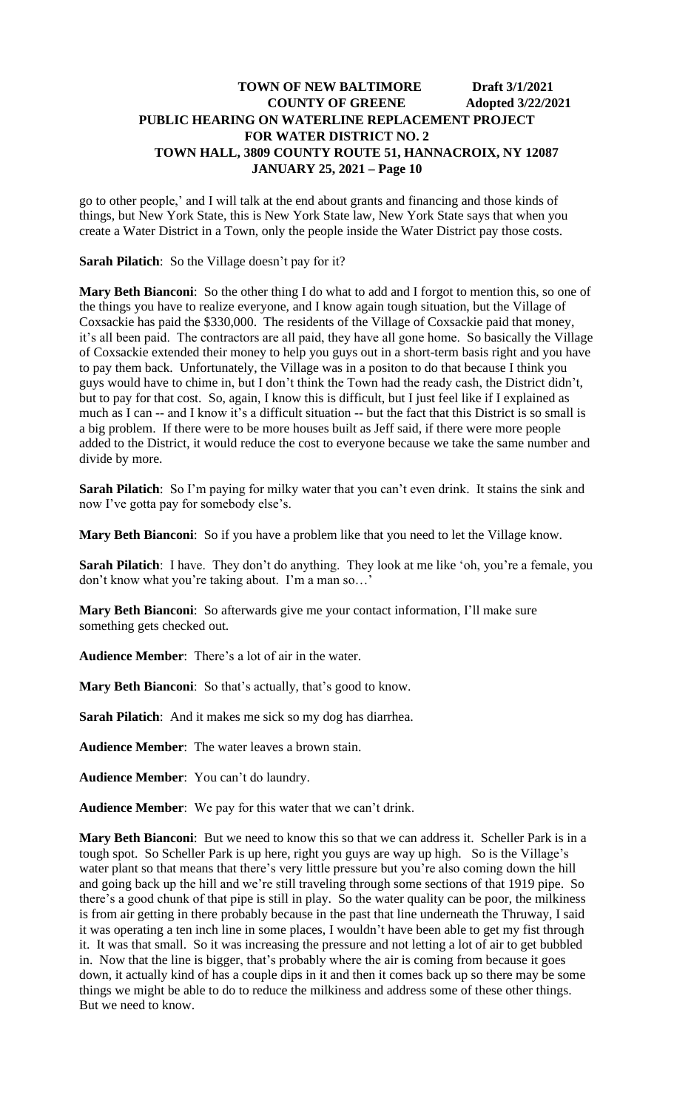go to other people,' and I will talk at the end about grants and financing and those kinds of things, but New York State, this is New York State law, New York State says that when you create a Water District in a Town, only the people inside the Water District pay those costs.

**Sarah Pilatich**: So the Village doesn't pay for it?

**Mary Beth Bianconi**: So the other thing I do what to add and I forgot to mention this, so one of the things you have to realize everyone, and I know again tough situation, but the Village of Coxsackie has paid the \$330,000. The residents of the Village of Coxsackie paid that money, it's all been paid. The contractors are all paid, they have all gone home. So basically the Village of Coxsackie extended their money to help you guys out in a short-term basis right and you have to pay them back. Unfortunately, the Village was in a positon to do that because I think you guys would have to chime in, but I don't think the Town had the ready cash, the District didn't, but to pay for that cost. So, again, I know this is difficult, but I just feel like if I explained as much as I can -- and I know it's a difficult situation -- but the fact that this District is so small is a big problem. If there were to be more houses built as Jeff said, if there were more people added to the District, it would reduce the cost to everyone because we take the same number and divide by more.

**Sarah Pilatich**: So I'm paying for milky water that you can't even drink. It stains the sink and now I've gotta pay for somebody else's.

**Mary Beth Bianconi**: So if you have a problem like that you need to let the Village know.

**Sarah Pilatich**: I have. They don't do anything. They look at me like 'oh, you're a female, you don't know what you're taking about. I'm a man so…'

**Mary Beth Bianconi**: So afterwards give me your contact information, I'll make sure something gets checked out.

**Audience Member**: There's a lot of air in the water.

**Mary Beth Bianconi**: So that's actually, that's good to know.

**Sarah Pilatich**: And it makes me sick so my dog has diarrhea.

**Audience Member**: The water leaves a brown stain.

**Audience Member**: You can't do laundry.

**Audience Member**: We pay for this water that we can't drink.

**Mary Beth Bianconi**: But we need to know this so that we can address it. Scheller Park is in a tough spot. So Scheller Park is up here, right you guys are way up high. So is the Village's water plant so that means that there's very little pressure but you're also coming down the hill and going back up the hill and we're still traveling through some sections of that 1919 pipe. So there's a good chunk of that pipe is still in play. So the water quality can be poor, the milkiness is from air getting in there probably because in the past that line underneath the Thruway, I said it was operating a ten inch line in some places, I wouldn't have been able to get my fist through it. It was that small. So it was increasing the pressure and not letting a lot of air to get bubbled in. Now that the line is bigger, that's probably where the air is coming from because it goes down, it actually kind of has a couple dips in it and then it comes back up so there may be some things we might be able to do to reduce the milkiness and address some of these other things. But we need to know.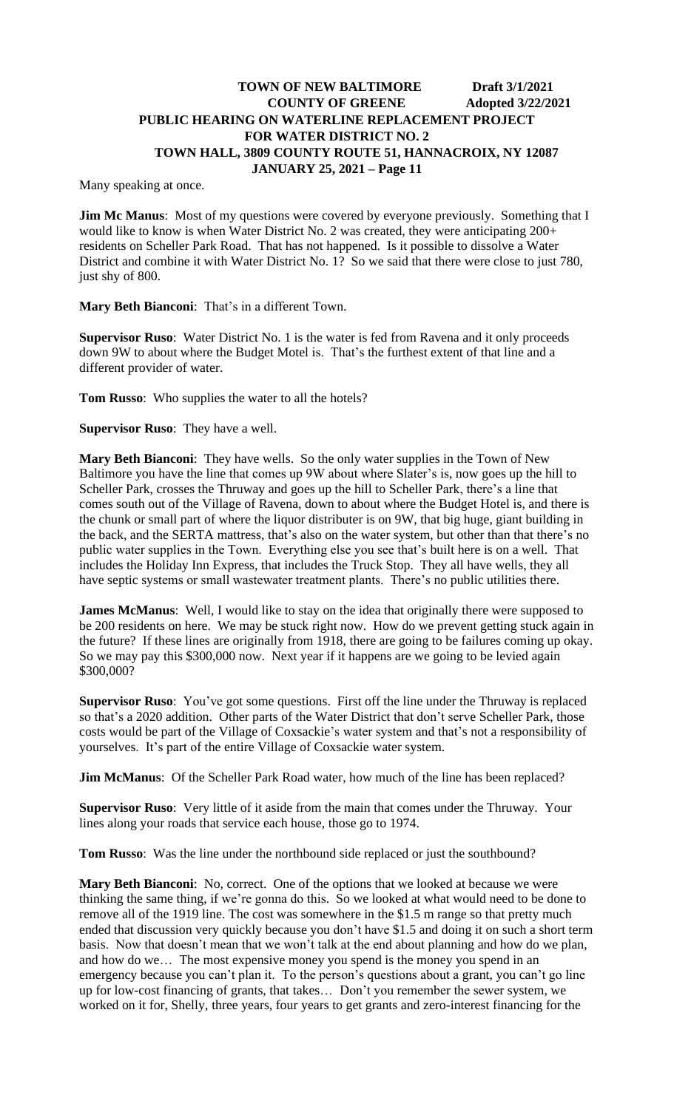Many speaking at once.

**Jim Mc Manus**: Most of my questions were covered by everyone previously. Something that I would like to know is when Water District No. 2 was created, they were anticipating 200+ residents on Scheller Park Road. That has not happened. Is it possible to dissolve a Water District and combine it with Water District No. 1? So we said that there were close to just 780, just shy of 800.

**Mary Beth Bianconi**: That's in a different Town.

**Supervisor Ruso**: Water District No. 1 is the water is fed from Ravena and it only proceeds down 9W to about where the Budget Motel is. That's the furthest extent of that line and a different provider of water.

**Tom Russo**: Who supplies the water to all the hotels?

**Supervisor Ruso**: They have a well.

**Mary Beth Bianconi**: They have wells. So the only water supplies in the Town of New Baltimore you have the line that comes up 9W about where Slater's is, now goes up the hill to Scheller Park, crosses the Thruway and goes up the hill to Scheller Park, there's a line that comes south out of the Village of Ravena, down to about where the Budget Hotel is, and there is the chunk or small part of where the liquor distributer is on 9W, that big huge, giant building in the back, and the SERTA mattress, that's also on the water system, but other than that there's no public water supplies in the Town. Everything else you see that's built here is on a well. That includes the Holiday Inn Express, that includes the Truck Stop. They all have wells, they all have septic systems or small wastewater treatment plants. There's no public utilities there.

**James McManus**: Well, I would like to stay on the idea that originally there were supposed to be 200 residents on here. We may be stuck right now. How do we prevent getting stuck again in the future? If these lines are originally from 1918, there are going to be failures coming up okay. So we may pay this \$300,000 now. Next year if it happens are we going to be levied again \$300,000?

**Supervisor Ruso**: You've got some questions. First off the line under the Thruway is replaced so that's a 2020 addition. Other parts of the Water District that don't serve Scheller Park, those costs would be part of the Village of Coxsackie's water system and that's not a responsibility of yourselves. It's part of the entire Village of Coxsackie water system.

**Jim McManus**: Of the Scheller Park Road water, how much of the line has been replaced?

**Supervisor Ruso**: Very little of it aside from the main that comes under the Thruway. Your lines along your roads that service each house, those go to 1974.

**Tom Russo**: Was the line under the northbound side replaced or just the southbound?

**Mary Beth Bianconi**: No, correct. One of the options that we looked at because we were thinking the same thing, if we're gonna do this. So we looked at what would need to be done to remove all of the 1919 line. The cost was somewhere in the \$1.5 m range so that pretty much ended that discussion very quickly because you don't have \$1.5 and doing it on such a short term basis. Now that doesn't mean that we won't talk at the end about planning and how do we plan, and how do we… The most expensive money you spend is the money you spend in an emergency because you can't plan it. To the person's questions about a grant, you can't go line up for low-cost financing of grants, that takes… Don't you remember the sewer system, we worked on it for, Shelly, three years, four years to get grants and zero-interest financing for the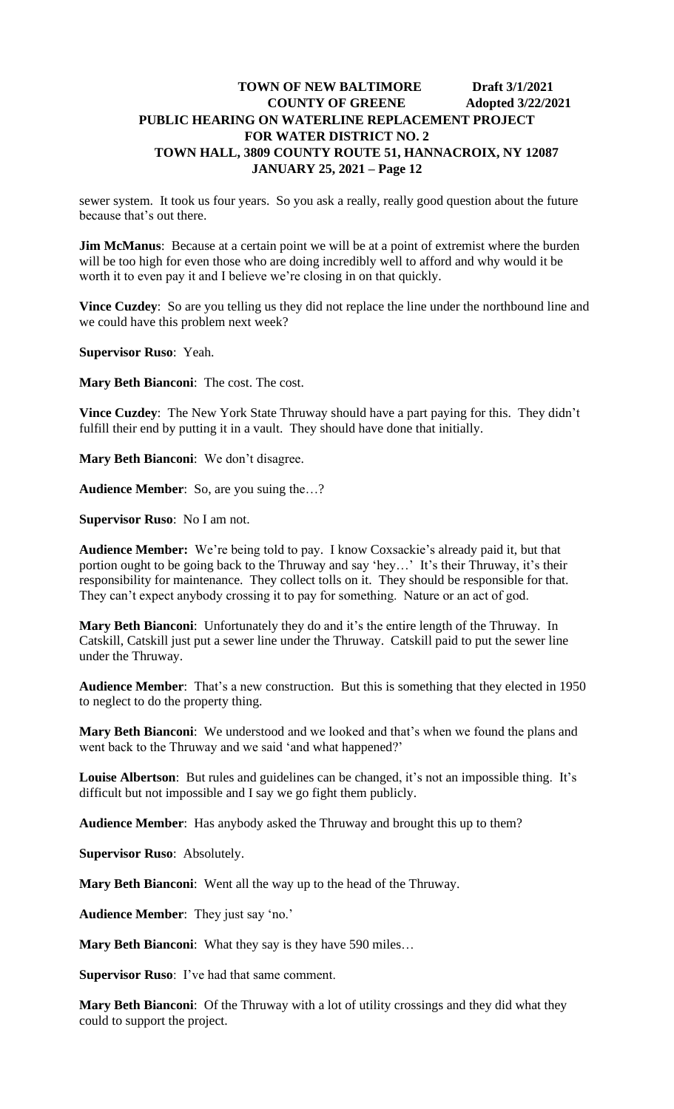sewer system. It took us four years. So you ask a really, really good question about the future because that's out there.

**Jim McManus**: Because at a certain point we will be at a point of extremist where the burden will be too high for even those who are doing incredibly well to afford and why would it be worth it to even pay it and I believe we're closing in on that quickly.

**Vince Cuzdey**: So are you telling us they did not replace the line under the northbound line and we could have this problem next week?

**Supervisor Ruso**: Yeah.

**Mary Beth Bianconi**: The cost. The cost.

**Vince Cuzdey**: The New York State Thruway should have a part paying for this. They didn't fulfill their end by putting it in a vault. They should have done that initially.

**Mary Beth Bianconi**: We don't disagree.

**Audience Member**: So, are you suing the…?

**Supervisor Ruso**: No I am not.

**Audience Member:** We're being told to pay. I know Coxsackie's already paid it, but that portion ought to be going back to the Thruway and say 'hey…' It's their Thruway, it's their responsibility for maintenance. They collect tolls on it. They should be responsible for that. They can't expect anybody crossing it to pay for something. Nature or an act of god.

**Mary Beth Bianconi**: Unfortunately they do and it's the entire length of the Thruway. In Catskill, Catskill just put a sewer line under the Thruway. Catskill paid to put the sewer line under the Thruway.

**Audience Member**: That's a new construction. But this is something that they elected in 1950 to neglect to do the property thing.

**Mary Beth Bianconi**: We understood and we looked and that's when we found the plans and went back to the Thruway and we said 'and what happened?'

**Louise Albertson**: But rules and guidelines can be changed, it's not an impossible thing. It's difficult but not impossible and I say we go fight them publicly.

**Audience Member**: Has anybody asked the Thruway and brought this up to them?

**Supervisor Ruso**: Absolutely.

**Mary Beth Bianconi**: Went all the way up to the head of the Thruway.

**Audience Member**: They just say 'no.'

**Mary Beth Bianconi**: What they say is they have 590 miles…

**Supervisor Ruso**: I've had that same comment.

**Mary Beth Bianconi**: Of the Thruway with a lot of utility crossings and they did what they could to support the project.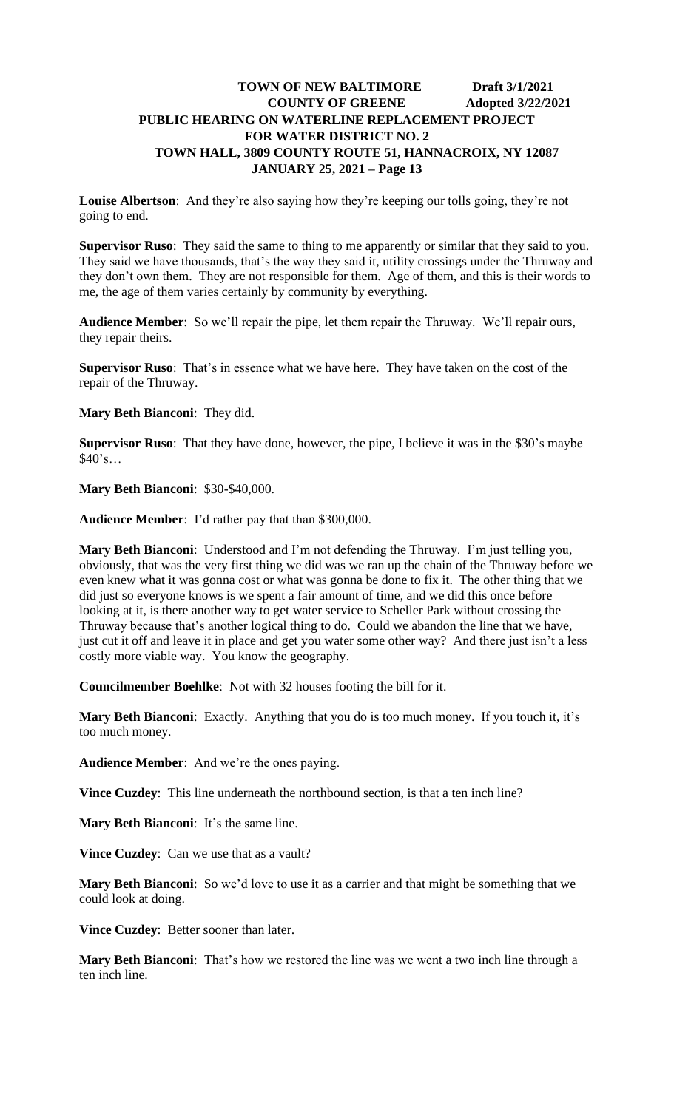**Louise Albertson**: And they're also saying how they're keeping our tolls going, they're not going to end.

**Supervisor Ruso**: They said the same to thing to me apparently or similar that they said to you. They said we have thousands, that's the way they said it, utility crossings under the Thruway and they don't own them. They are not responsible for them. Age of them, and this is their words to me, the age of them varies certainly by community by everything.

**Audience Member**: So we'll repair the pipe, let them repair the Thruway. We'll repair ours, they repair theirs.

**Supervisor Ruso**: That's in essence what we have here. They have taken on the cost of the repair of the Thruway.

**Mary Beth Bianconi**: They did.

**Supervisor Ruso**: That they have done, however, the pipe, I believe it was in the \$30's maybe \$40's…

**Mary Beth Bianconi**: \$30-\$40,000.

**Audience Member**: I'd rather pay that than \$300,000.

**Mary Beth Bianconi**: Understood and I'm not defending the Thruway. I'm just telling you, obviously, that was the very first thing we did was we ran up the chain of the Thruway before we even knew what it was gonna cost or what was gonna be done to fix it. The other thing that we did just so everyone knows is we spent a fair amount of time, and we did this once before looking at it, is there another way to get water service to Scheller Park without crossing the Thruway because that's another logical thing to do. Could we abandon the line that we have, just cut it off and leave it in place and get you water some other way? And there just isn't a less costly more viable way. You know the geography.

**Councilmember Boehlke**: Not with 32 houses footing the bill for it.

**Mary Beth Bianconi**: Exactly. Anything that you do is too much money. If you touch it, it's too much money.

**Audience Member**: And we're the ones paying.

**Vince Cuzdey**: This line underneath the northbound section, is that a ten inch line?

**Mary Beth Bianconi**: It's the same line.

**Vince Cuzdey:** Can we use that as a vault?

**Mary Beth Bianconi**: So we'd love to use it as a carrier and that might be something that we could look at doing.

**Vince Cuzdey**: Better sooner than later.

**Mary Beth Bianconi**: That's how we restored the line was we went a two inch line through a ten inch line.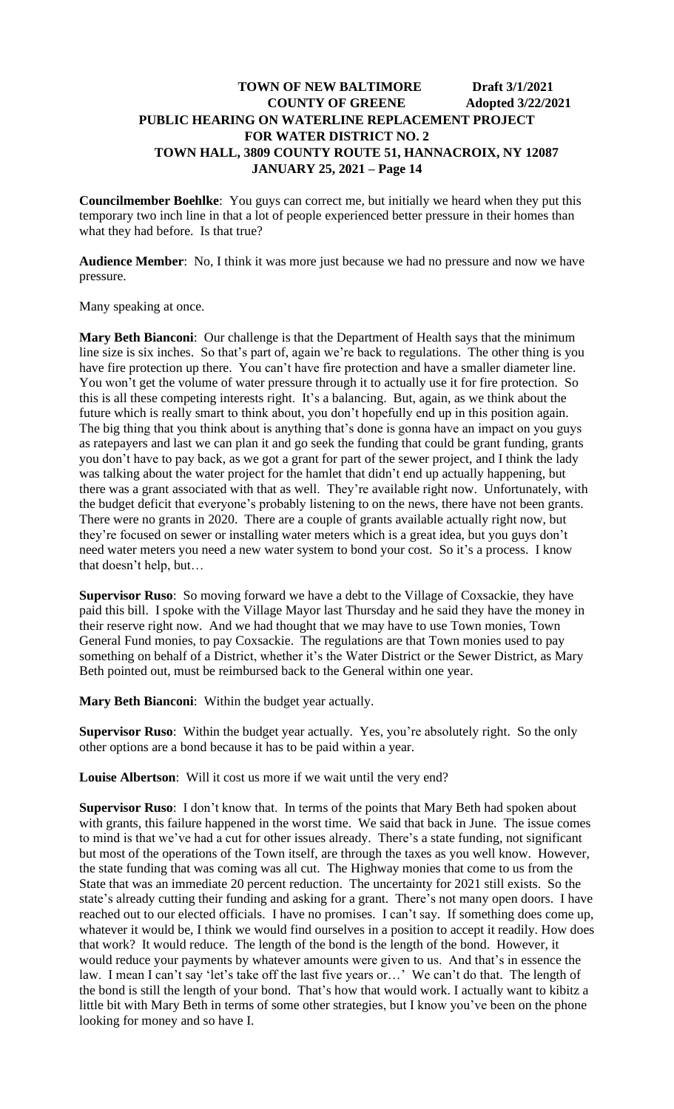**Councilmember Boehlke**: You guys can correct me, but initially we heard when they put this temporary two inch line in that a lot of people experienced better pressure in their homes than what they had before. Is that true?

**Audience Member**: No, I think it was more just because we had no pressure and now we have pressure.

Many speaking at once.

**Mary Beth Bianconi**: Our challenge is that the Department of Health says that the minimum line size is six inches. So that's part of, again we're back to regulations. The other thing is you have fire protection up there. You can't have fire protection and have a smaller diameter line. You won't get the volume of water pressure through it to actually use it for fire protection. So this is all these competing interests right. It's a balancing. But, again, as we think about the future which is really smart to think about, you don't hopefully end up in this position again. The big thing that you think about is anything that's done is gonna have an impact on you guys as ratepayers and last we can plan it and go seek the funding that could be grant funding, grants you don't have to pay back, as we got a grant for part of the sewer project, and I think the lady was talking about the water project for the hamlet that didn't end up actually happening, but there was a grant associated with that as well. They're available right now. Unfortunately, with the budget deficit that everyone's probably listening to on the news, there have not been grants. There were no grants in 2020. There are a couple of grants available actually right now, but they're focused on sewer or installing water meters which is a great idea, but you guys don't need water meters you need a new water system to bond your cost. So it's a process. I know that doesn't help, but…

**Supervisor Ruso**: So moving forward we have a debt to the Village of Coxsackie, they have paid this bill. I spoke with the Village Mayor last Thursday and he said they have the money in their reserve right now. And we had thought that we may have to use Town monies, Town General Fund monies, to pay Coxsackie. The regulations are that Town monies used to pay something on behalf of a District, whether it's the Water District or the Sewer District, as Mary Beth pointed out, must be reimbursed back to the General within one year.

**Mary Beth Bianconi**: Within the budget year actually.

**Supervisor Ruso**: Within the budget year actually. Yes, you're absolutely right. So the only other options are a bond because it has to be paid within a year.

**Louise Albertson**: Will it cost us more if we wait until the very end?

**Supervisor Ruso**: I don't know that. In terms of the points that Mary Beth had spoken about with grants, this failure happened in the worst time. We said that back in June. The issue comes to mind is that we've had a cut for other issues already. There's a state funding, not significant but most of the operations of the Town itself, are through the taxes as you well know. However, the state funding that was coming was all cut. The Highway monies that come to us from the State that was an immediate 20 percent reduction. The uncertainty for 2021 still exists. So the state's already cutting their funding and asking for a grant. There's not many open doors. I have reached out to our elected officials. I have no promises. I can't say. If something does come up, whatever it would be, I think we would find ourselves in a position to accept it readily. How does that work? It would reduce. The length of the bond is the length of the bond. However, it would reduce your payments by whatever amounts were given to us. And that's in essence the law. I mean I can't say 'let's take off the last five years or…' We can't do that. The length of the bond is still the length of your bond. That's how that would work. I actually want to kibitz a little bit with Mary Beth in terms of some other strategies, but I know you've been on the phone looking for money and so have I.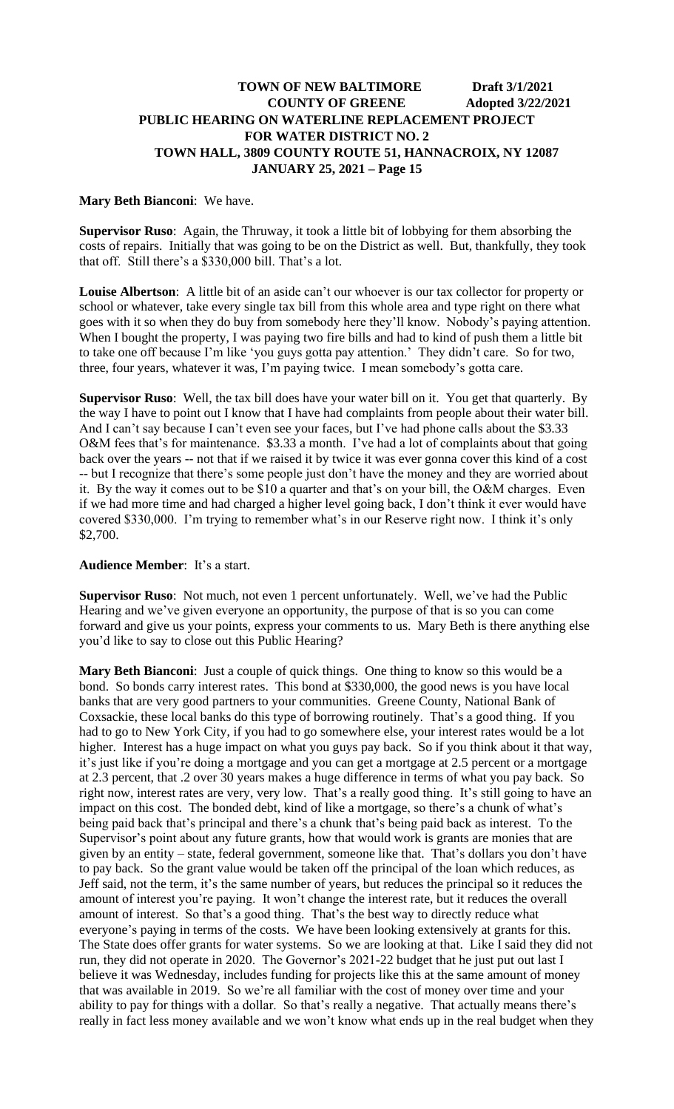#### **Mary Beth Bianconi**: We have.

**Supervisor Ruso**: Again, the Thruway, it took a little bit of lobbying for them absorbing the costs of repairs. Initially that was going to be on the District as well. But, thankfully, they took that off. Still there's a \$330,000 bill. That's a lot.

**Louise Albertson**: A little bit of an aside can't our whoever is our tax collector for property or school or whatever, take every single tax bill from this whole area and type right on there what goes with it so when they do buy from somebody here they'll know. Nobody's paying attention. When I bought the property, I was paying two fire bills and had to kind of push them a little bit to take one off because I'm like 'you guys gotta pay attention.' They didn't care. So for two, three, four years, whatever it was, I'm paying twice. I mean somebody's gotta care.

**Supervisor Ruso**: Well, the tax bill does have your water bill on it. You get that quarterly. By the way I have to point out I know that I have had complaints from people about their water bill. And I can't say because I can't even see your faces, but I've had phone calls about the \$3.33 O&M fees that's for maintenance. \$3.33 a month. I've had a lot of complaints about that going back over the years -- not that if we raised it by twice it was ever gonna cover this kind of a cost -- but I recognize that there's some people just don't have the money and they are worried about it. By the way it comes out to be \$10 a quarter and that's on your bill, the O&M charges. Even if we had more time and had charged a higher level going back, I don't think it ever would have covered \$330,000. I'm trying to remember what's in our Reserve right now. I think it's only \$2,700.

#### **Audience Member**: It's a start.

**Supervisor Ruso**: Not much, not even 1 percent unfortunately. Well, we've had the Public Hearing and we've given everyone an opportunity, the purpose of that is so you can come forward and give us your points, express your comments to us. Mary Beth is there anything else you'd like to say to close out this Public Hearing?

**Mary Beth Bianconi**: Just a couple of quick things. One thing to know so this would be a bond. So bonds carry interest rates. This bond at \$330,000, the good news is you have local banks that are very good partners to your communities. Greene County, National Bank of Coxsackie, these local banks do this type of borrowing routinely. That's a good thing. If you had to go to New York City, if you had to go somewhere else, your interest rates would be a lot higher. Interest has a huge impact on what you guys pay back. So if you think about it that way, it's just like if you're doing a mortgage and you can get a mortgage at 2.5 percent or a mortgage at 2.3 percent, that .2 over 30 years makes a huge difference in terms of what you pay back. So right now, interest rates are very, very low. That's a really good thing. It's still going to have an impact on this cost. The bonded debt, kind of like a mortgage, so there's a chunk of what's being paid back that's principal and there's a chunk that's being paid back as interest. To the Supervisor's point about any future grants, how that would work is grants are monies that are given by an entity – state, federal government, someone like that. That's dollars you don't have to pay back. So the grant value would be taken off the principal of the loan which reduces, as Jeff said, not the term, it's the same number of years, but reduces the principal so it reduces the amount of interest you're paying. It won't change the interest rate, but it reduces the overall amount of interest. So that's a good thing. That's the best way to directly reduce what everyone's paying in terms of the costs. We have been looking extensively at grants for this. The State does offer grants for water systems. So we are looking at that. Like I said they did not run, they did not operate in 2020. The Governor's 2021-22 budget that he just put out last I believe it was Wednesday, includes funding for projects like this at the same amount of money that was available in 2019. So we're all familiar with the cost of money over time and your ability to pay for things with a dollar. So that's really a negative. That actually means there's really in fact less money available and we won't know what ends up in the real budget when they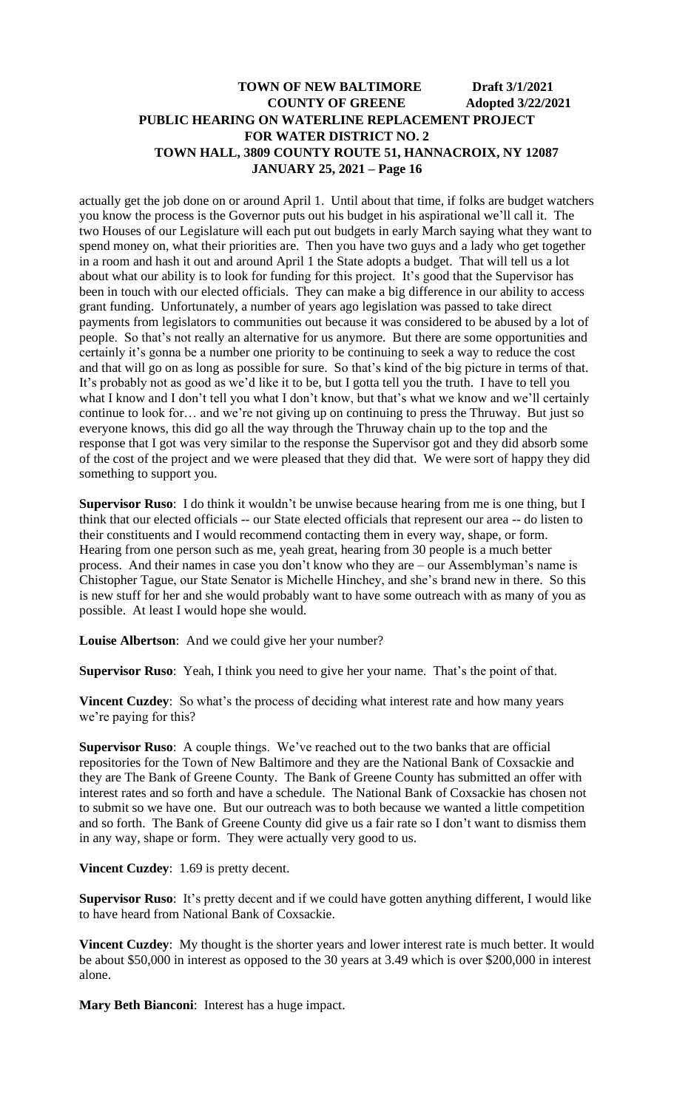actually get the job done on or around April 1. Until about that time, if folks are budget watchers you know the process is the Governor puts out his budget in his aspirational we'll call it. The two Houses of our Legislature will each put out budgets in early March saying what they want to spend money on, what their priorities are. Then you have two guys and a lady who get together in a room and hash it out and around April 1 the State adopts a budget. That will tell us a lot about what our ability is to look for funding for this project. It's good that the Supervisor has been in touch with our elected officials. They can make a big difference in our ability to access grant funding. Unfortunately, a number of years ago legislation was passed to take direct payments from legislators to communities out because it was considered to be abused by a lot of people. So that's not really an alternative for us anymore. But there are some opportunities and certainly it's gonna be a number one priority to be continuing to seek a way to reduce the cost and that will go on as long as possible for sure. So that's kind of the big picture in terms of that. It's probably not as good as we'd like it to be, but I gotta tell you the truth. I have to tell you what I know and I don't tell you what I don't know, but that's what we know and we'll certainly continue to look for… and we're not giving up on continuing to press the Thruway. But just so everyone knows, this did go all the way through the Thruway chain up to the top and the response that I got was very similar to the response the Supervisor got and they did absorb some of the cost of the project and we were pleased that they did that. We were sort of happy they did something to support you.

**Supervisor Ruso**: I do think it wouldn't be unwise because hearing from me is one thing, but I think that our elected officials -- our State elected officials that represent our area -- do listen to their constituents and I would recommend contacting them in every way, shape, or form. Hearing from one person such as me, yeah great, hearing from 30 people is a much better process. And their names in case you don't know who they are – our Assemblyman's name is Chistopher Tague, our State Senator is Michelle Hinchey, and she's brand new in there. So this is new stuff for her and she would probably want to have some outreach with as many of you as possible. At least I would hope she would.

**Louise Albertson**: And we could give her your number?

**Supervisor Ruso**: Yeah, I think you need to give her your name. That's the point of that.

**Vincent Cuzdey**: So what's the process of deciding what interest rate and how many years we're paying for this?

**Supervisor Ruso**: A couple things. We've reached out to the two banks that are official repositories for the Town of New Baltimore and they are the National Bank of Coxsackie and they are The Bank of Greene County. The Bank of Greene County has submitted an offer with interest rates and so forth and have a schedule. The National Bank of Coxsackie has chosen not to submit so we have one. But our outreach was to both because we wanted a little competition and so forth. The Bank of Greene County did give us a fair rate so I don't want to dismiss them in any way, shape or form. They were actually very good to us.

#### **Vincent Cuzdey**: 1.69 is pretty decent.

**Supervisor Ruso**: It's pretty decent and if we could have gotten anything different, I would like to have heard from National Bank of Coxsackie.

**Vincent Cuzdey**: My thought is the shorter years and lower interest rate is much better. It would be about \$50,000 in interest as opposed to the 30 years at 3.49 which is over \$200,000 in interest alone.

**Mary Beth Bianconi**: Interest has a huge impact.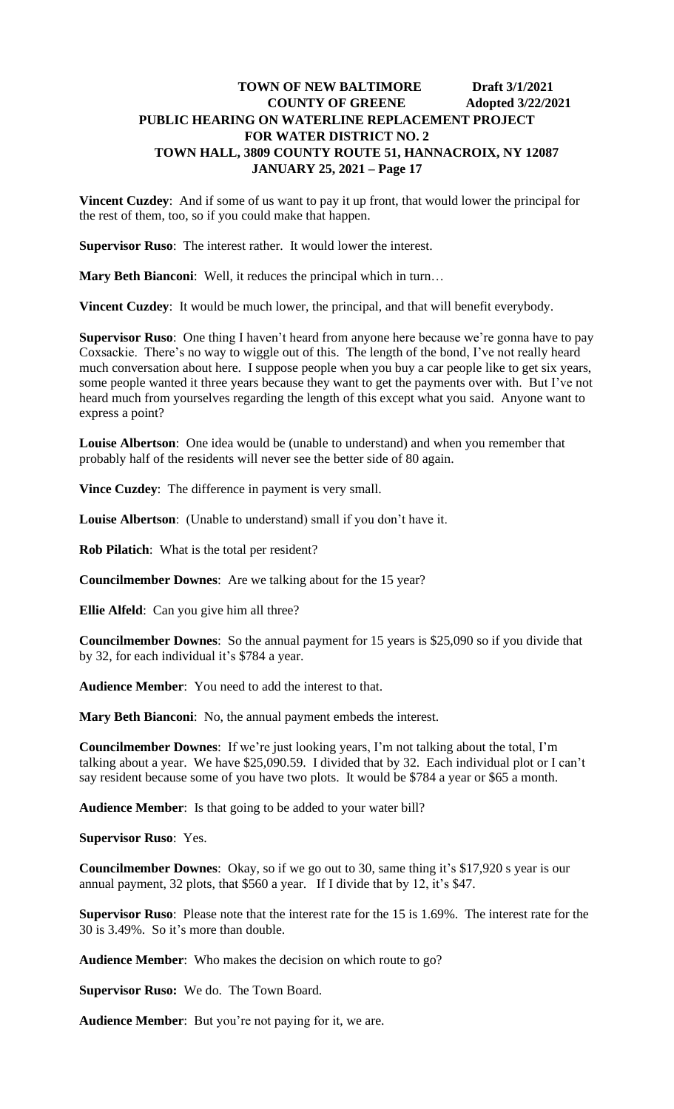**Vincent Cuzdey**: And if some of us want to pay it up front, that would lower the principal for the rest of them, too, so if you could make that happen.

**Supervisor Ruso**: The interest rather. It would lower the interest.

**Mary Beth Bianconi**: Well, it reduces the principal which in turn…

**Vincent Cuzdey**: It would be much lower, the principal, and that will benefit everybody.

**Supervisor Ruso**: One thing I haven't heard from anyone here because we're gonna have to pay Coxsackie. There's no way to wiggle out of this. The length of the bond, I've not really heard much conversation about here. I suppose people when you buy a car people like to get six years, some people wanted it three years because they want to get the payments over with. But I've not heard much from yourselves regarding the length of this except what you said. Anyone want to express a point?

**Louise Albertson**: One idea would be (unable to understand) and when you remember that probably half of the residents will never see the better side of 80 again.

**Vince Cuzdey**: The difference in payment is very small.

**Louise Albertson**: (Unable to understand) small if you don't have it.

**Rob Pilatich**: What is the total per resident?

**Councilmember Downes**: Are we talking about for the 15 year?

**Ellie Alfeld**: Can you give him all three?

**Councilmember Downes**: So the annual payment for 15 years is \$25,090 so if you divide that by 32, for each individual it's \$784 a year.

**Audience Member**: You need to add the interest to that.

**Mary Beth Bianconi**: No, the annual payment embeds the interest.

**Councilmember Downes**: If we're just looking years, I'm not talking about the total, I'm talking about a year. We have \$25,090.59. I divided that by 32. Each individual plot or I can't say resident because some of you have two plots. It would be \$784 a year or \$65 a month.

**Audience Member**: Is that going to be added to your water bill?

**Supervisor Ruso**: Yes.

**Councilmember Downes**: Okay, so if we go out to 30, same thing it's \$17,920 s year is our annual payment, 32 plots, that \$560 a year. If I divide that by 12, it's \$47.

**Supervisor Ruso**: Please note that the interest rate for the 15 is 1.69%. The interest rate for the 30 is 3.49%. So it's more than double.

**Audience Member**: Who makes the decision on which route to go?

**Supervisor Ruso:** We do. The Town Board.

**Audience Member**: But you're not paying for it, we are.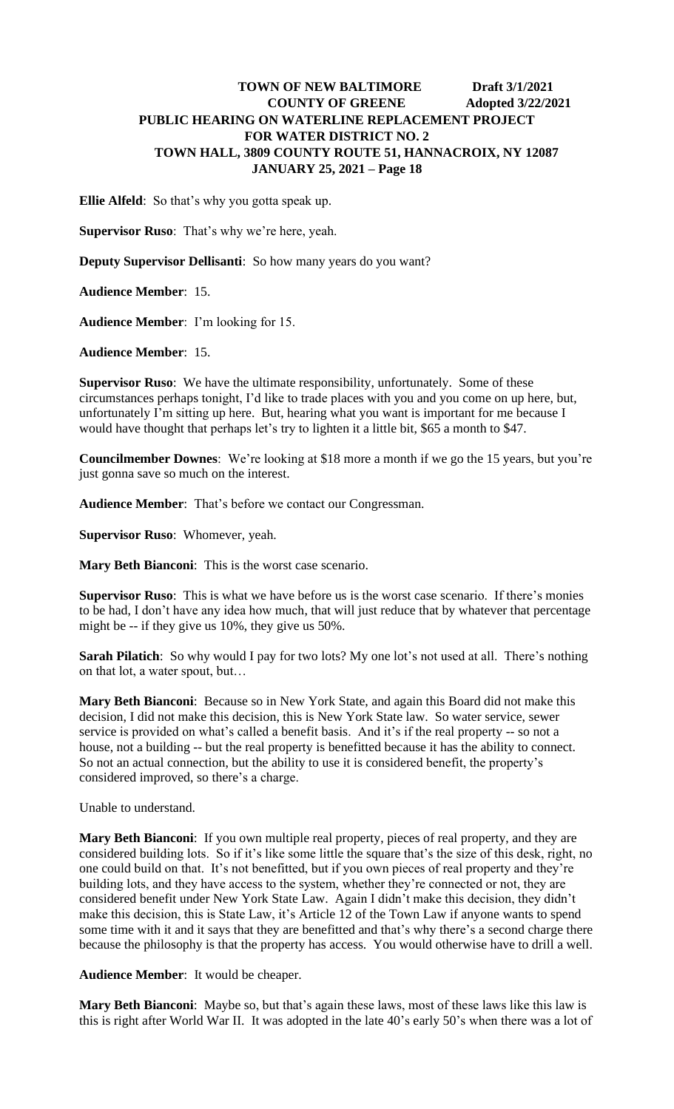**Ellie Alfeld**: So that's why you gotta speak up.

**Supervisor Ruso**: That's why we're here, yeah.

**Deputy Supervisor Dellisanti**: So how many years do you want?

**Audience Member**: 15.

**Audience Member**: I'm looking for 15.

**Audience Member**: 15.

**Supervisor Ruso**: We have the ultimate responsibility, unfortunately. Some of these circumstances perhaps tonight, I'd like to trade places with you and you come on up here, but, unfortunately I'm sitting up here. But, hearing what you want is important for me because I would have thought that perhaps let's try to lighten it a little bit, \$65 a month to \$47.

**Councilmember Downes**: We're looking at \$18 more a month if we go the 15 years, but you're just gonna save so much on the interest.

**Audience Member**: That's before we contact our Congressman.

**Supervisor Ruso**: Whomever, yeah.

**Mary Beth Bianconi**: This is the worst case scenario.

**Supervisor Ruso**: This is what we have before us is the worst case scenario. If there's monies to be had, I don't have any idea how much, that will just reduce that by whatever that percentage might be -- if they give us 10%, they give us 50%.

**Sarah Pilatich**: So why would I pay for two lots? My one lot's not used at all. There's nothing on that lot, a water spout, but…

**Mary Beth Bianconi**: Because so in New York State, and again this Board did not make this decision, I did not make this decision, this is New York State law. So water service, sewer service is provided on what's called a benefit basis. And it's if the real property -- so not a house, not a building -- but the real property is benefitted because it has the ability to connect. So not an actual connection, but the ability to use it is considered benefit, the property's considered improved, so there's a charge.

Unable to understand.

**Mary Beth Bianconi**: If you own multiple real property, pieces of real property, and they are considered building lots. So if it's like some little the square that's the size of this desk, right, no one could build on that. It's not benefitted, but if you own pieces of real property and they're building lots, and they have access to the system, whether they're connected or not, they are considered benefit under New York State Law. Again I didn't make this decision, they didn't make this decision, this is State Law, it's Article 12 of the Town Law if anyone wants to spend some time with it and it says that they are benefitted and that's why there's a second charge there because the philosophy is that the property has access. You would otherwise have to drill a well.

**Audience Member**: It would be cheaper.

**Mary Beth Bianconi**: Maybe so, but that's again these laws, most of these laws like this law is this is right after World War II. It was adopted in the late 40's early 50's when there was a lot of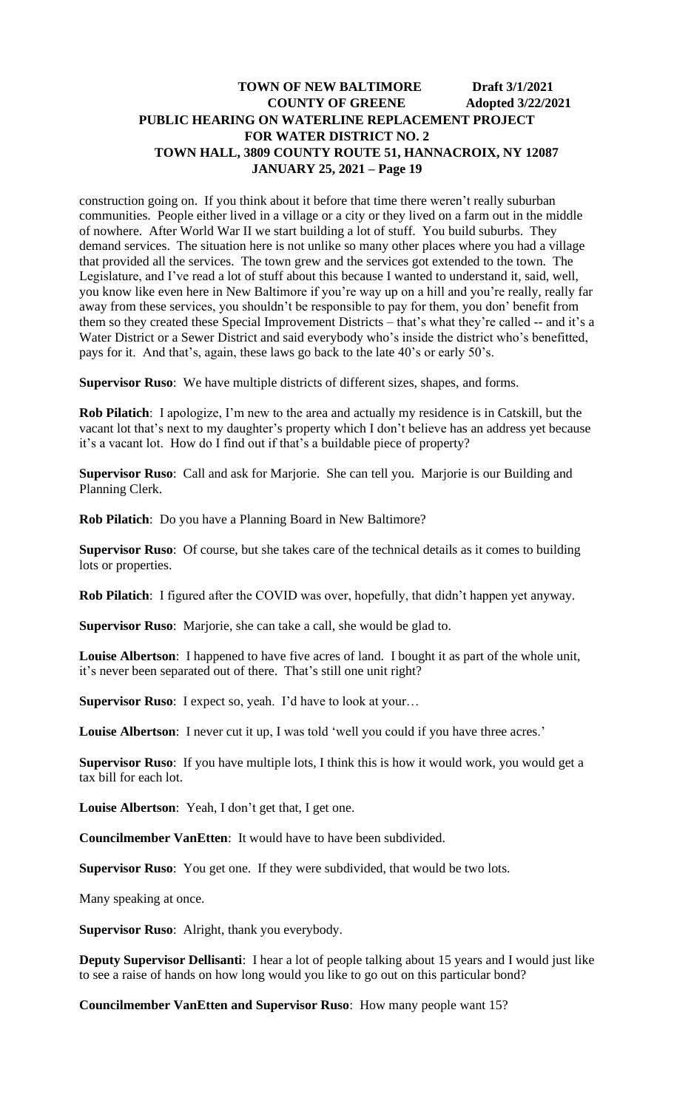construction going on. If you think about it before that time there weren't really suburban communities. People either lived in a village or a city or they lived on a farm out in the middle of nowhere. After World War II we start building a lot of stuff. You build suburbs. They demand services. The situation here is not unlike so many other places where you had a village that provided all the services. The town grew and the services got extended to the town. The Legislature, and I've read a lot of stuff about this because I wanted to understand it, said, well, you know like even here in New Baltimore if you're way up on a hill and you're really, really far away from these services, you shouldn't be responsible to pay for them, you don' benefit from them so they created these Special Improvement Districts – that's what they're called -- and it's a Water District or a Sewer District and said everybody who's inside the district who's benefitted, pays for it. And that's, again, these laws go back to the late 40's or early 50's.

**Supervisor Ruso**: We have multiple districts of different sizes, shapes, and forms.

**Rob Pilatich**: I apologize, I'm new to the area and actually my residence is in Catskill, but the vacant lot that's next to my daughter's property which I don't believe has an address yet because it's a vacant lot. How do I find out if that's a buildable piece of property?

**Supervisor Ruso**: Call and ask for Marjorie. She can tell you. Marjorie is our Building and Planning Clerk.

**Rob Pilatich**: Do you have a Planning Board in New Baltimore?

**Supervisor Ruso**: Of course, but she takes care of the technical details as it comes to building lots or properties.

**Rob Pilatich**: I figured after the COVID was over, hopefully, that didn't happen yet anyway.

**Supervisor Ruso**: Marjorie, she can take a call, she would be glad to.

**Louise Albertson**: I happened to have five acres of land. I bought it as part of the whole unit, it's never been separated out of there. That's still one unit right?

**Supervisor Ruso**: I expect so, yeah. I'd have to look at your...

Louise Albertson: I never cut it up, I was told 'well you could if you have three acres.'

**Supervisor Ruso**: If you have multiple lots, I think this is how it would work, you would get a tax bill for each lot.

**Louise Albertson**: Yeah, I don't get that, I get one.

**Councilmember VanEtten**: It would have to have been subdivided.

**Supervisor Ruso**: You get one. If they were subdivided, that would be two lots.

Many speaking at once.

**Supervisor Ruso**: Alright, thank you everybody.

**Deputy Supervisor Dellisanti**: I hear a lot of people talking about 15 years and I would just like to see a raise of hands on how long would you like to go out on this particular bond?

**Councilmember VanEtten and Supervisor Ruso**: How many people want 15?